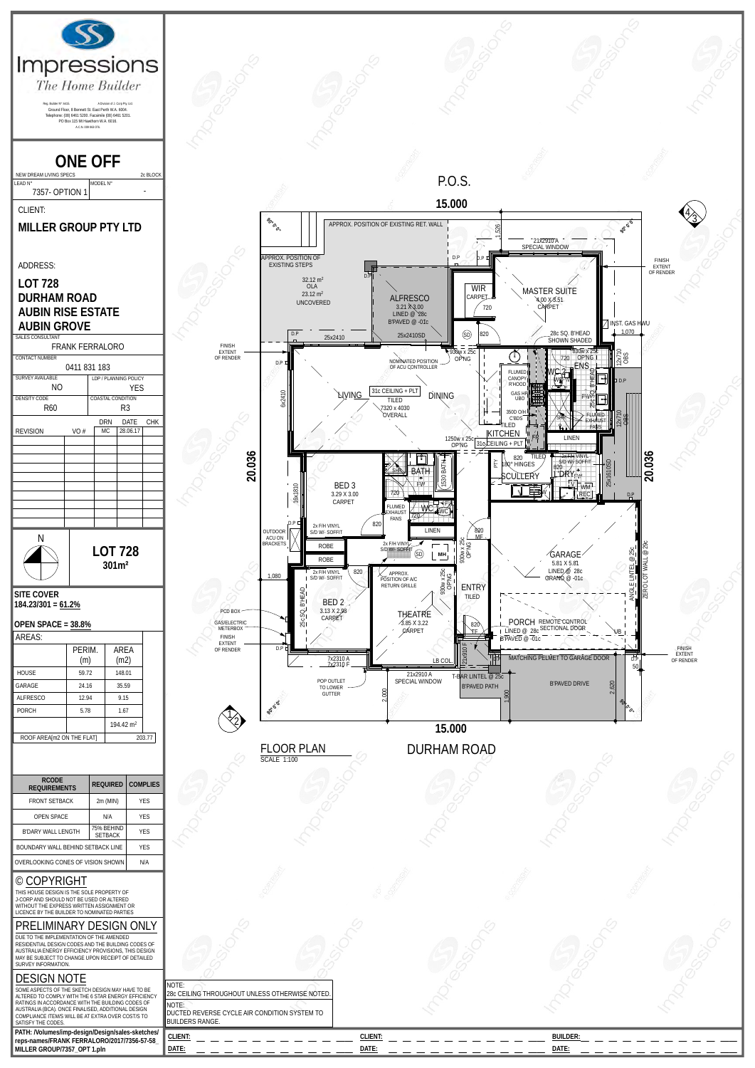

| <b>FRUINT JETDAUN</b>                                                                                                                                                                                                              | ZIII (IVIIIV)                | 1 E.J      |  |
|------------------------------------------------------------------------------------------------------------------------------------------------------------------------------------------------------------------------------------|------------------------------|------------|--|
| <b>OPEN SPACE</b>                                                                                                                                                                                                                  | N/A                          | <b>YES</b> |  |
| B'DARY WALL LENGTH                                                                                                                                                                                                                 | 75% BEHIND<br><b>SETBACK</b> | <b>YES</b> |  |
| BOUNDARY WALL BEHIND SETBACK LINE                                                                                                                                                                                                  |                              | <b>YES</b> |  |
| OVERLOOKING CONES OF VISION SHOWN                                                                                                                                                                                                  | N/A                          |            |  |
| <b>COPYRIGHT</b><br>O<br>THIS HOUSE DESIGN IS THE SOLE PROPERTY OF<br>J-CORP AND SHOULD NOT BE USED OR ALTERED.<br>WITHOUT THE EXPRESS WRITTEN ASSIGNMENT OR<br>LICENCE BY THE BUILDER TO NOMINATED PARTIES                        |                              |            |  |
| PRELIMINARY DESIGN ONLY                                                                                                                                                                                                            |                              |            |  |
| DUE TO THE IMPI EMENTATION OF THE AMENDED<br>RESIDENTIAL DESIGN CODES AND THE BUILDING CODES OF<br>AUSTRALIA ENERGY EFFICIENCY PROVISIONS, THIS DESIGN<br>MAY BE SUBJECT TO CHANGE UPON RECEIPT OF DETAILED<br>SURVEY INFORMATION. |                              |            |  |

## DESIGN NOTE

| PRELIMINARY DESIGN ONLY<br>DUE TO THE IMPLEMENTATION OF THE AMENDED<br>RESIDENTIAL DESIGN CODES AND THE BUILDING CODES OF<br>AUSTRALIA ENERGY EFFICIENCY PROVISIONS. THIS DESIGN  |                                                                                 |         |                 |  |
|-----------------------------------------------------------------------------------------------------------------------------------------------------------------------------------|---------------------------------------------------------------------------------|---------|-----------------|--|
| MAY BE SUBJECT TO CHANGE UPON RECEIPT OF DETAILED<br>SURVEY INFORMATION.                                                                                                          |                                                                                 |         |                 |  |
| <b>DESIGN NOTE</b><br>SOME ASPECTS OF THE SKETCH DESIGN MAY HAVE TO BE<br>ALTERED TO COMPLY WITH THE 6 STAR ENERGY EFFICIENCY<br>RATINGS IN ACCORDANCE WITH THE BUILDING CODES OF | NOTE:<br>28c CEILING THROUGHOUT UNLESS OTHERWISE NOTED.                         |         |                 |  |
| AUSTRALIA (BCA). ONCE FINALISED, ADDITIONAL DESIGN<br>COMPLIANCE ITEM/S WILL BE AT EXTRA OVER COST/S TO<br>SATISFY THE CODES.                                                     | <b>NOTE:</b><br>DUCTED REVERSE CYCLE AIR CONDITION SYSTEM TO<br>BUILDERS RANGE. |         |                 |  |
| PATH: /Volumes/imp-design/Design/sales-sketches/<br>reps-names/FRANK FERRALORO/2017/7356-57-58_                                                                                   | CLIENT:                                                                         | CLIENT: | <b>BUILDER:</b> |  |
| MILLER GROUP/7357 OPT 1.pln                                                                                                                                                       | DATE:                                                                           | DATE:   | DATE:           |  |